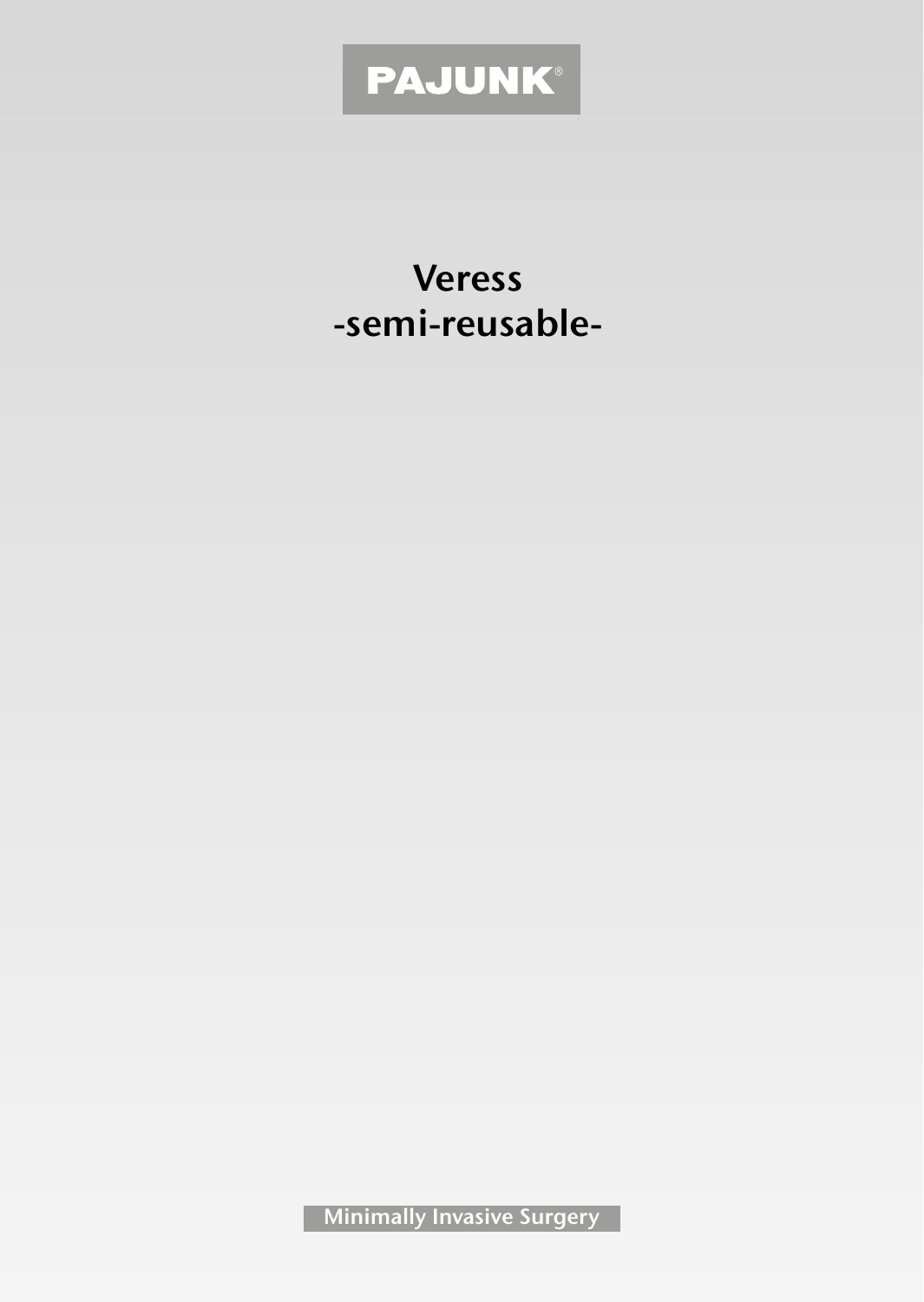# PAJUNK®

**Veress -semi-reusable-**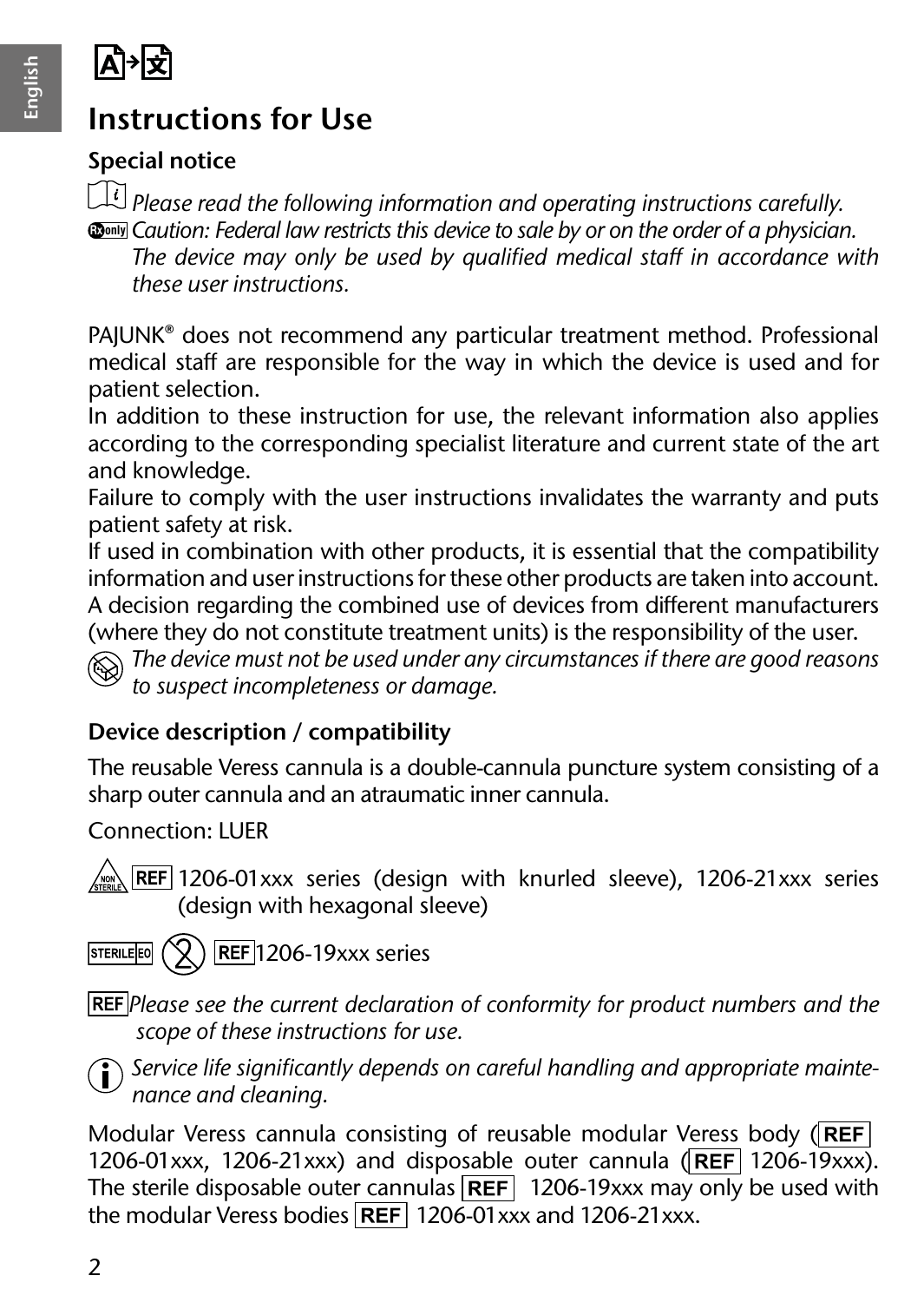

## **Instructions for Use**

#### **Special notice**

*Please read the following information and operating instructions carefully.*  **Rx only** *Caution: Federal law restricts this device to sale by or on the order of a physician.*

*The device may only be used by qualified medical staff in accordance with these user instructions.*

PAJUNK® does not recommend any particular treatment method. Professional medical staff are responsible for the way in which the device is used and for patient selection.

In addition to these instruction for use, the relevant information also applies according to the corresponding specialist literature and current state of the art and knowledge.

Failure to comply with the user instructions invalidates the warranty and puts patient safety at risk.

If used in combination with other products, it is essential that the compatibility information and user instructions for these other products are taken into account. A decision regarding the combined use of devices from different manufacturers (where they do not constitute treatment units) is the responsibility of the user.

*The device must not be used under any circumstances if there are good reasons to suspect incompleteness or damage.*

#### **Device description / compatibility**

The reusable Veress cannula is a double-cannula puncture system consisting of a sharp outer cannula and an atraumatic inner cannula.

Connection: LUER

1206-01xxx series (design with knurled sleeve), 1206-21xxx series (design with hexagonal sleeve)

 $\mathcal{R}$ ) REF 1206-19xxx series **STERILE EO** 

*Please see the current declaration of conformity for product numbers and the scope of these instructions for use.*



*Service life significantly depends on careful handling and appropriate maintenance and cleaning.*

Modular Veress cannula consisting of reusable modular Veress body (REF) 1206-01xxx, 1206-21xxx) and disposable outer cannula  $(\overline{\mathsf{REF}}|1206-19xxx)$ . The sterile disposable outer cannulas  $\overline{\text{REF}}$  1206-19xxx may only be used with the modular Veress bodies **REF** 1206-01xxx and 1206-21xxx.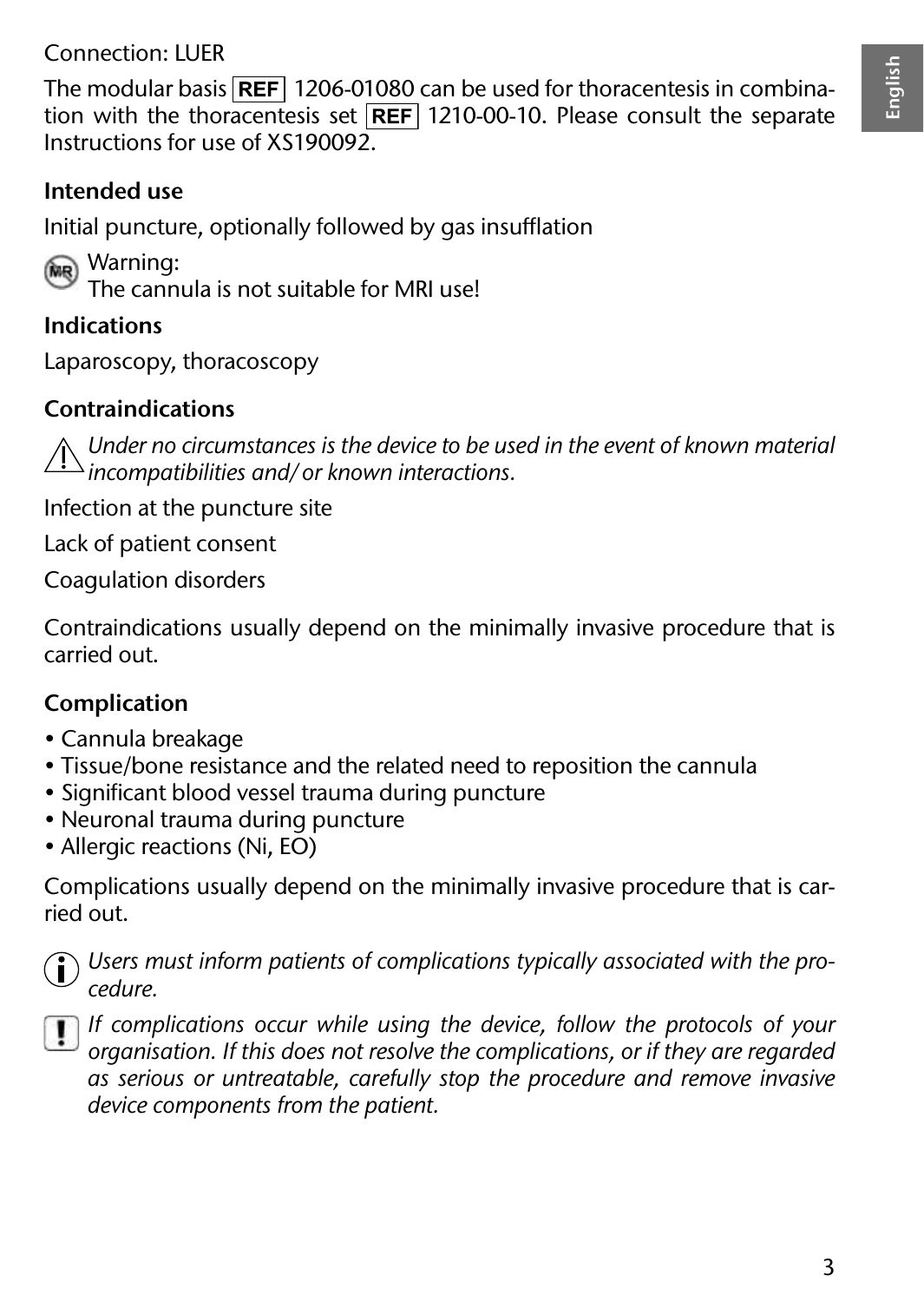#### Connection: LUER

The modular basis **REF** 1206-01080 can be used for thoracentesis in combination with the thoracentesis set **REF** 1210-00-10. Please consult the separate Instructions for use of XS190092.

#### **Intended use**

Initial puncture, optionally followed by gas insufflation

(MR) Warning:

The cannula is not suitable for MRI use!

#### **Indications**

Laparoscopy, thoracoscopy

#### **Contraindications**

*Under no circumstances is the device to be used in the event of known material incompatibilities and/or known interactions.*

Infection at the puncture site

Lack of patient consent

Coagulation disorders

Contraindications usually depend on the minimally invasive procedure that is carried out.

#### **Complication**

- Cannula breakage
- Tissue/bone resistance and the related need to reposition the cannula
- Significant blood vessel trauma during puncture
- Neuronal trauma during puncture
- Allergic reactions (Ni, EO)

Complications usually depend on the minimally invasive procedure that is carried out.



*Users must inform patients of complications typically associated with the procedure.*



*If complications occur while using the device, follow the protocols of your organisation. If this does not resolve the complications, or if they are regarded as serious or untreatable, carefully stop the procedure and remove invasive device components from the patient.*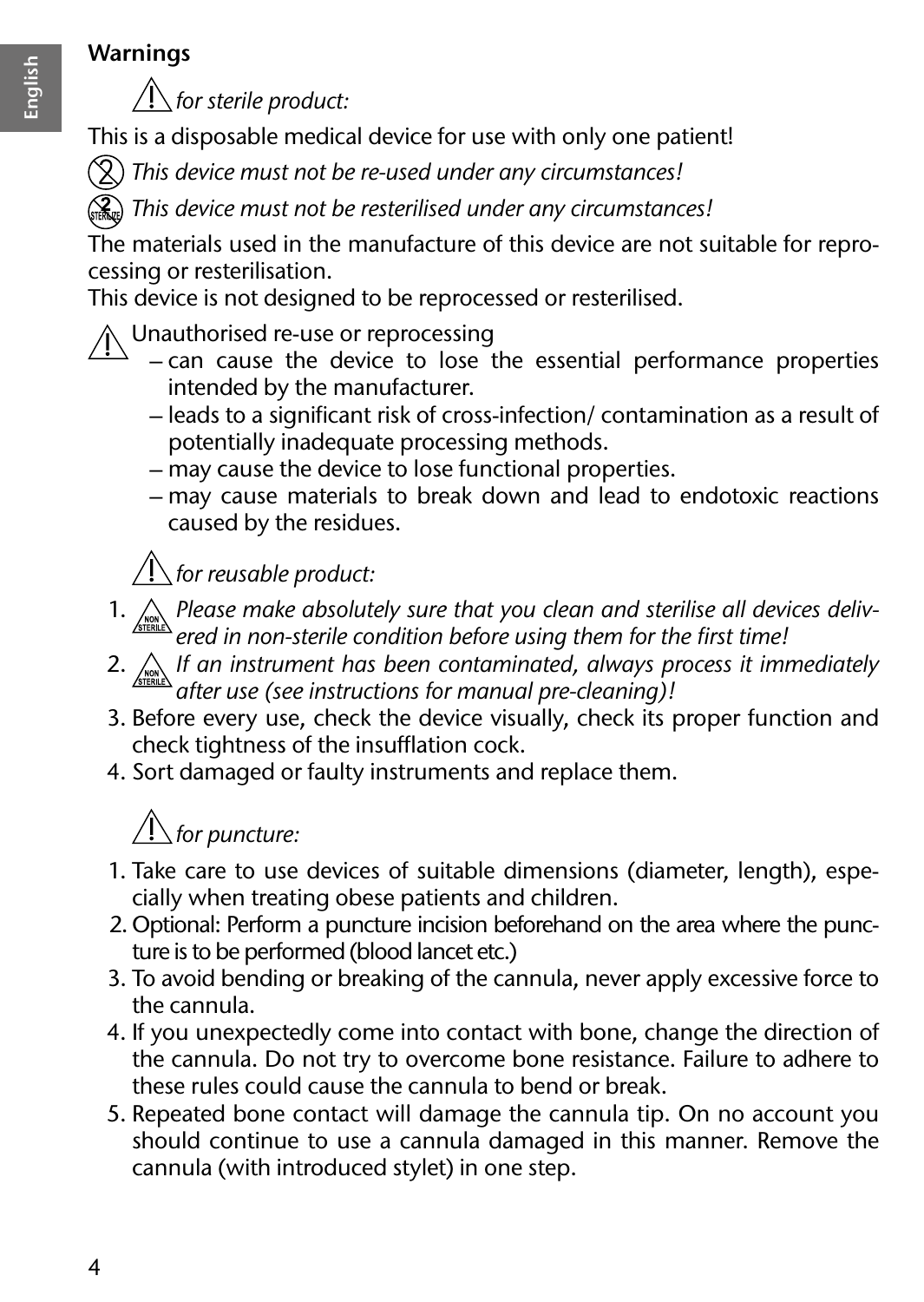#### **Warnings**



*for sterile product:*

This is a disposable medical device for use with only one patient!

*This device must not be re-used under any circumstances!*

*This device must not be resterilised under any circumstances!*

The materials used in the manufacture of this device are not suitable for reprocessing or resterilisation.

This device is not designed to be reprocessed or resterilised.

### $\Lambda$  Unauthorised re-use or reprocessing

- can cause the device to lose the essential performance properties intended by the manufacturer.
- leads to a significant risk of cross-infection/ contamination as a result of potentially inadequate processing methods.
- may cause the device to lose functional properties.
- may cause materials to break down and lead to endotoxic reactions caused by the residues.

## $\sqrt{ }$  for reusable product:

- 1. *Please make absolutely sure that you clean and sterilise all devices delivered in non-sterile condition before using them for the first time!*
- 2. *If an instrument has been contaminated, always process it immediately after use (see instructions for manual pre-cleaning)!*
- 3. Before every use, check the device visually, check its proper function and check tightness of the insufflation cock.
- 4. Sort damaged or faulty instruments and replace them.

## *for puncture:*

- 1. Take care to use devices of suitable dimensions (diameter, length), especially when treating obese patients and children.
- 2. Optional: Perform a puncture incision beforehand on the area where the puncture is to be performed (blood lancet etc.)
- 3. To avoid bending or breaking of the cannula, never apply excessive force to the cannula.
- 4. If you unexpectedly come into contact with bone, change the direction of the cannula. Do not try to overcome bone resistance. Failure to adhere to these rules could cause the cannula to bend or break.
- 5. Repeated bone contact will damage the cannula tip. On no account you should continue to use a cannula damaged in this manner. Remove the cannula (with introduced stylet) in one step.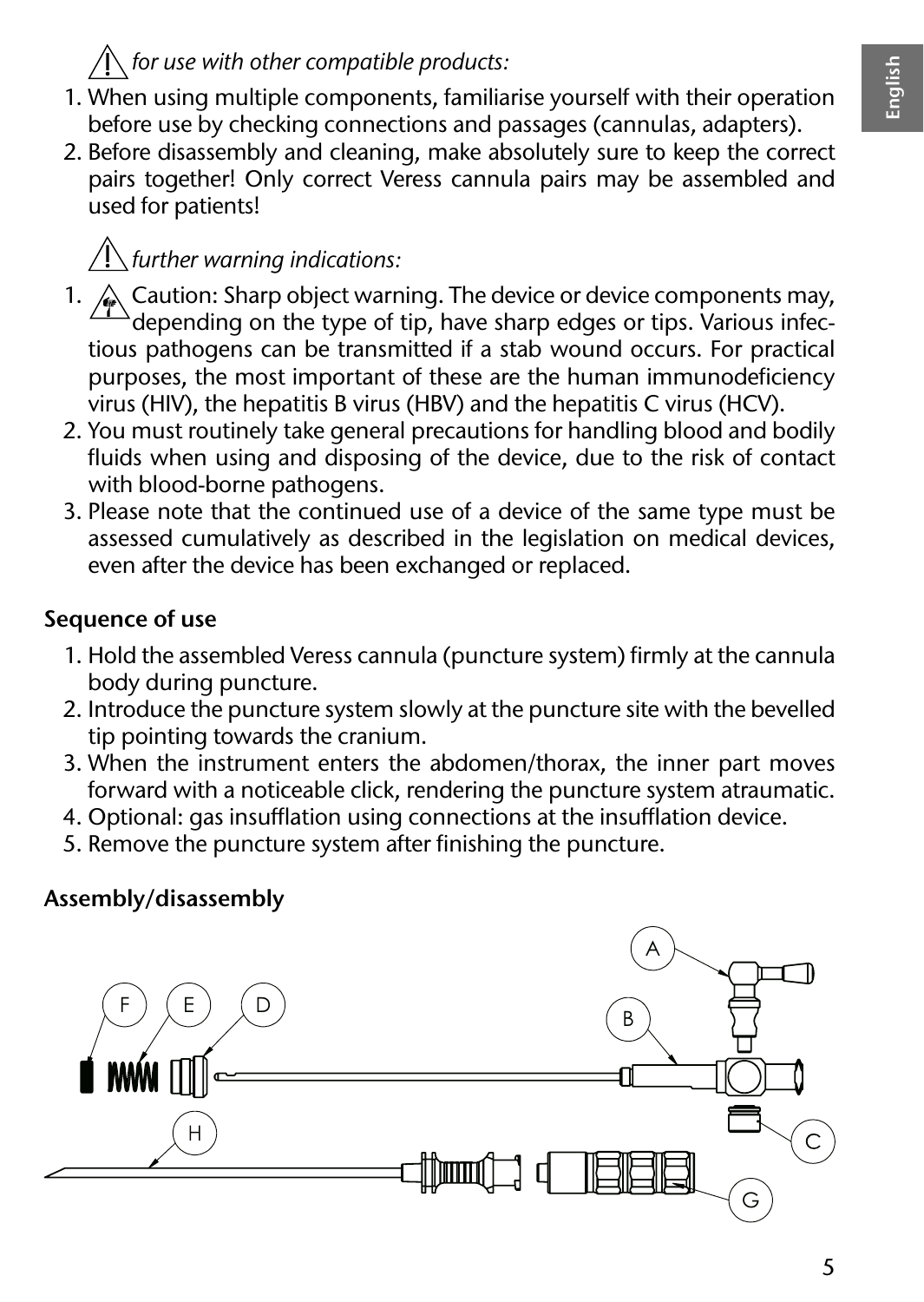#### *for use with other compatible products:*

- 1. When using multiple components, familiarise yourself with their operation before use by checking connections and passages (cannulas, adapters).
- 2. Before disassembly and cleaning, make absolutely sure to keep the correct pairs together! Only correct Veress cannula pairs may be assembled and used for patients!

## *further warning indications:*

- 1.  $\triangle$  Caution: Sharp object warning. The device or device components may,  $\Delta$ depending on the type of tip, have sharp edges or tips. Various infectious pathogens can be transmitted if a stab wound occurs. For practical purposes, the most important of these are the human immunodeficiency virus (HIV), the hepatitis B virus (HBV) and the hepatitis C virus (HCV).
- 2. You must routinely take general precautions for handling blood and bodily fluids when using and disposing of the device, due to the risk of contact with blood-borne pathogens.
- 3. Please note that the continued use of a device of the same type must be assessed cumulatively as described in the legislation on medical devices, even after the device has been exchanged or replaced.

#### **Sequence of use**

- 1. Hold the assembled Veress cannula (puncture system) firmly at the cannula body during puncture.
- 2. Introduce the puncture system slowly at the puncture site with the bevelled tip pointing towards the cranium.
- 3. When the instrument enters the abdomen/thorax, the inner part moves forward with a noticeable click, rendering the puncture system atraumatic.
- 4. Optional: gas insufflation using connections at the insufflation device.
- 5. Remove the puncture system after finishing the puncture.

#### **Assembly/disassembly**

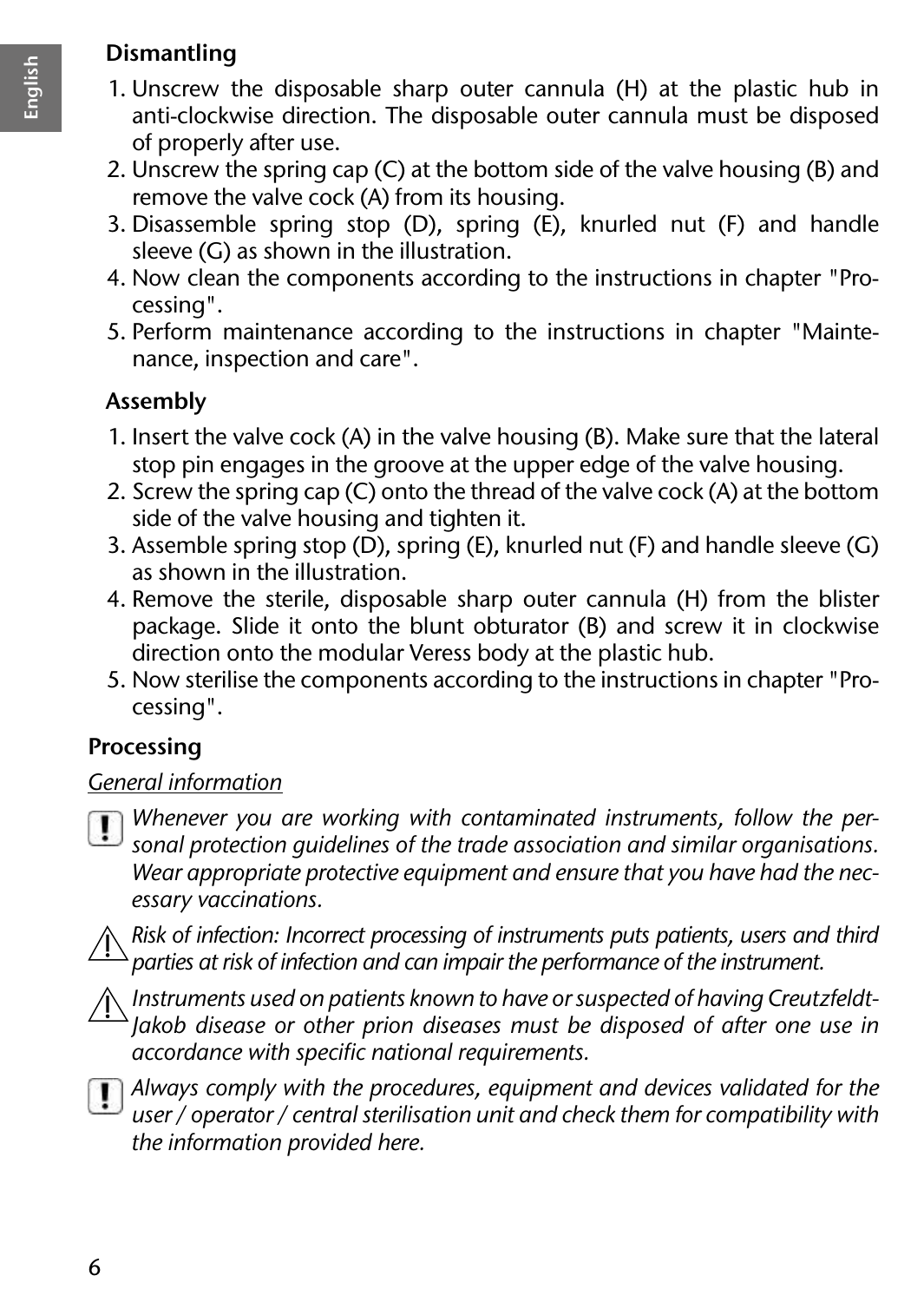#### **Dismantling**

- 
- 1. Unscrew the disposable sharp outer cannula (H) at the plastic hub in anti-clockwise direction. The disposable outer cannula must be disposed of properly after use.
- 2. Unscrew the spring cap (C) at the bottom side of the valve housing (B) and remove the valve cock (A) from its housing.
- 3. Disassemble spring stop (D), spring (E), knurled nut (F) and handle sleeve (G) as shown in the illustration.
- 4. Now clean the components according to the instructions in chapter "Processing".
- 5. Perform maintenance according to the instructions in chapter "Maintenance, inspection and care".

#### **Assembly**

- 1. Insert the valve cock (A) in the valve housing (B). Make sure that the lateral stop pin engages in the groove at the upper edge of the valve housing.
- 2. Screw the spring cap (C) onto the thread of the valve cock (A) at the bottom side of the valve housing and tighten it.
- 3. Assemble spring stop ( $\overline{D}$ ), spring (E), knurled nut (F) and handle sleeve (G) as shown in the illustration.
- 4. Remove the sterile, disposable sharp outer cannula (H) from the blister package. Slide it onto the blunt obturator (B) and screw it in clockwise direction onto the modular Veress body at the plastic hub.
- 5. Now sterilise the components according to the instructions in chapter "Processing".

#### **Processing**

#### *General information*

*Whenever you are working with contaminated instruments, follow the personal protection guidelines of the trade association and similar organisations. Wear appropriate protective equipment and ensure that you have had the necessary vaccinations.*

*Risk of infection: Incorrect processing of instruments puts patients, users and third parties at risk of infection and can impair the performance of the instrument.*



*Instruments used on patients known to have or suspected of having Creutzfeldt-Jakob disease or other prion diseases must be disposed of after one use in accordance with specific national requirements.*



*Always comply with the procedures, equipment and devices validated for the user / operator / central sterilisation unit and check them for compatibility with the information provided here.*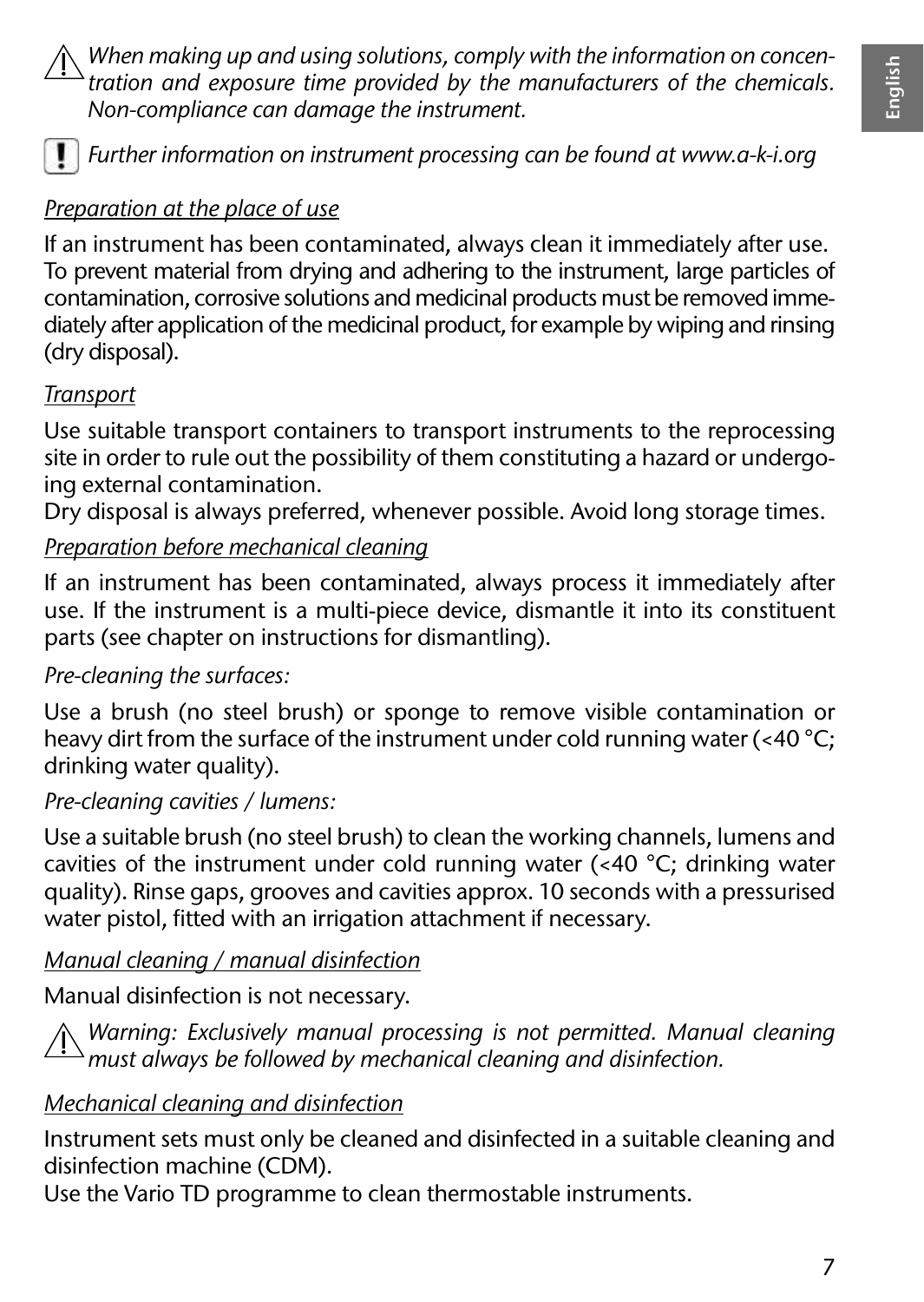*When making up and using solutions, comply with the information on concentration and exposure time provided by the manufacturers of the chemicals. Non-compliance can damage the instrument.*



*Further information on instrument processing can be found at www.a-k-i.org*

#### *Preparation at the place of use*

If an instrument has been contaminated, always clean it immediately after use. To prevent material from drying and adhering to the instrument, large particles of contamination, corrosive solutions and medicinal products must be removed immediately after application of the medicinal product, for example by wiping and rinsing (dry disposal).

#### *Transport*

Use suitable transport containers to transport instruments to the reprocessing site in order to rule out the possibility of them constituting a hazard or undergoing external contamination.

Dry disposal is always preferred, whenever possible. Avoid long storage times.

#### *Preparation before mechanical cleaning*

If an instrument has been contaminated, always process it immediately after use. If the instrument is a multi-piece device, dismantle it into its constituent parts (see chapter on instructions for dismantling).

#### *Pre-cleaning the surfaces:*

Use a brush (no steel brush) or sponge to remove visible contamination or heavy dirt from the surface of the instrument under cold running water (<40 °C; drinking water quality).

#### *Pre-cleaning cavities / lumens:*

Use a suitable brush (no steel brush) to clean the working channels, lumens and cavities of the instrument under cold running water (<40 °C; drinking water quality). Rinse gaps, grooves and cavities approx. 10 seconds with a pressurised water pistol, fitted with an irrigation attachment if necessary.

#### *Manual cleaning / manual disinfection*

Manual disinfection is not necessary.

*Warning: Exclusively manual processing is not permitted. Manual cleaning must always be followed by mechanical cleaning and disinfection.*

#### *Mechanical cleaning and disinfection*

Instrument sets must only be cleaned and disinfected in a suitable cleaning and disinfection machine (CDM).

Use the Vario TD programme to clean thermostable instruments.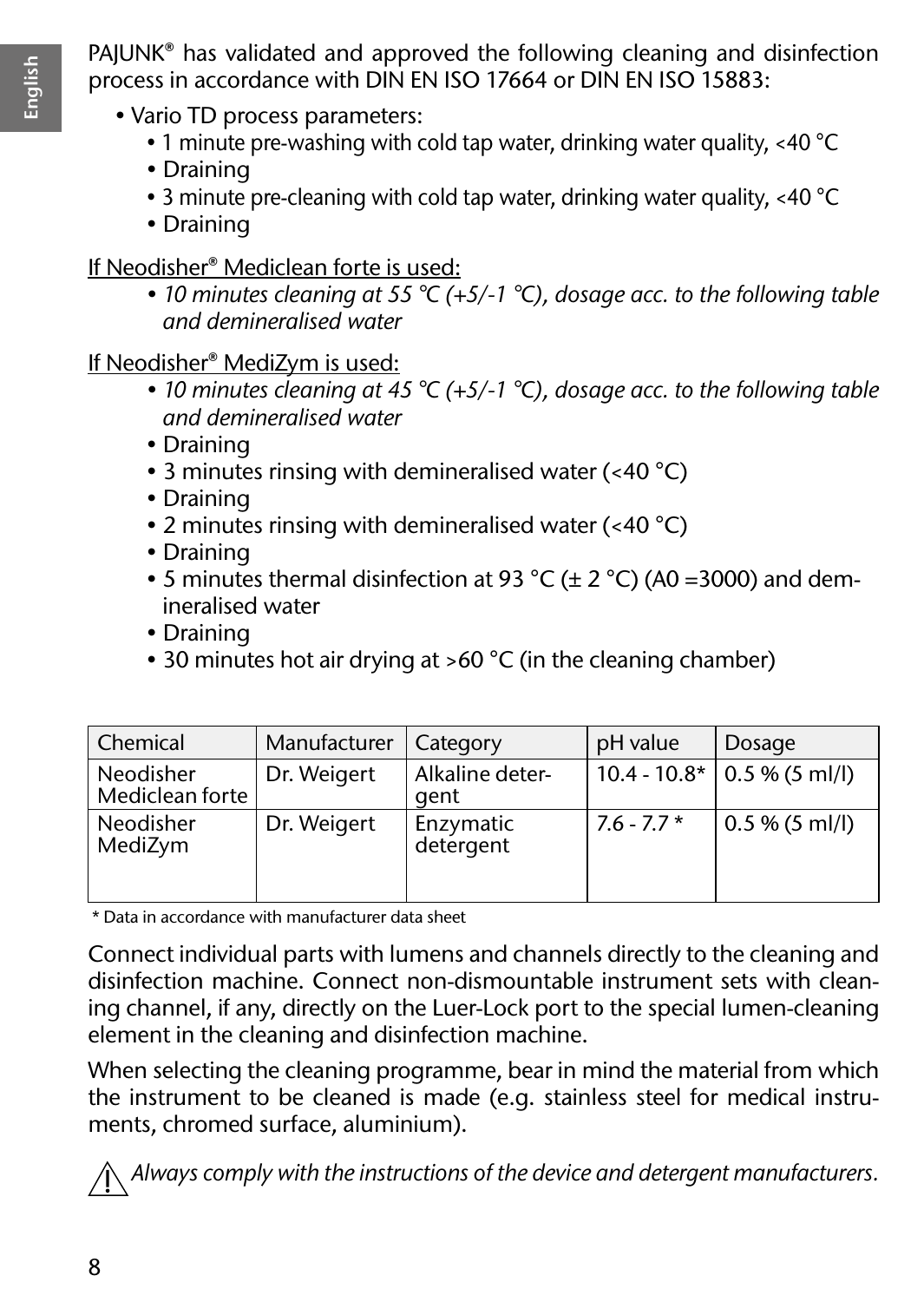PAJUNK® has validated and approved the following cleaning and disinfection process in accordance with DIN EN ISO 17664 or DIN EN ISO 15883:

- Vario TD process parameters:
	- 1 minute pre-washing with cold tap water, drinking water quality, <40 °C
	- Draining
	- 3 minute pre-cleaning with cold tap water, drinking water quality, <40 °C
	- Draining

If Neodisher® Mediclean forte is used:

*• 10 minutes cleaning at 55 °C (+5/-1 °C), dosage acc. to the following table and demineralised water*

If Neodisher® MediZym is used:

- *10 minutes cleaning at 45 °C (+5/-1 °C), dosage acc. to the following table and demineralised water*
- Draining
- 3 minutes rinsing with demineralised water (<40 °C)
- Draining
- 2 minutes rinsing with demineralised water (<40 °C)
- Draining
- 5 minutes thermal disinfection at 93 °C ( $\pm$  2 °C) (A0 =3000) and demineralised water
- Draining
- 30 minutes hot air drying at >60 °C (in the cleaning chamber)

| Chemical                     | Manufacturer | Category                | pH value     | Dosage                        |
|------------------------------|--------------|-------------------------|--------------|-------------------------------|
| Neodisher<br>Mediclean forte | Dr. Weigert  | Alkaline deter-<br>aent |              | $10.4 - 10.8*$ 0.5 % (5 ml/l) |
| Neodisher<br>MediZym         | Dr. Weigert  | Enzymatic<br>detergent  | $7.6 - 7.7*$ | $0.5\%$ (5 ml/l)              |

\* Data in accordance with manufacturer data sheet

Connect individual parts with lumens and channels directly to the cleaning and disinfection machine. Connect non-dismountable instrument sets with cleaning channel, if any, directly on the Luer-Lock port to the special lumen-cleaning element in the cleaning and disinfection machine.

When selecting the cleaning programme, bear in mind the material from which the instrument to be cleaned is made (e.g. stainless steel for medical instruments, chromed surface, aluminium).

*Always comply with the instructions of the device and detergent manufacturers.*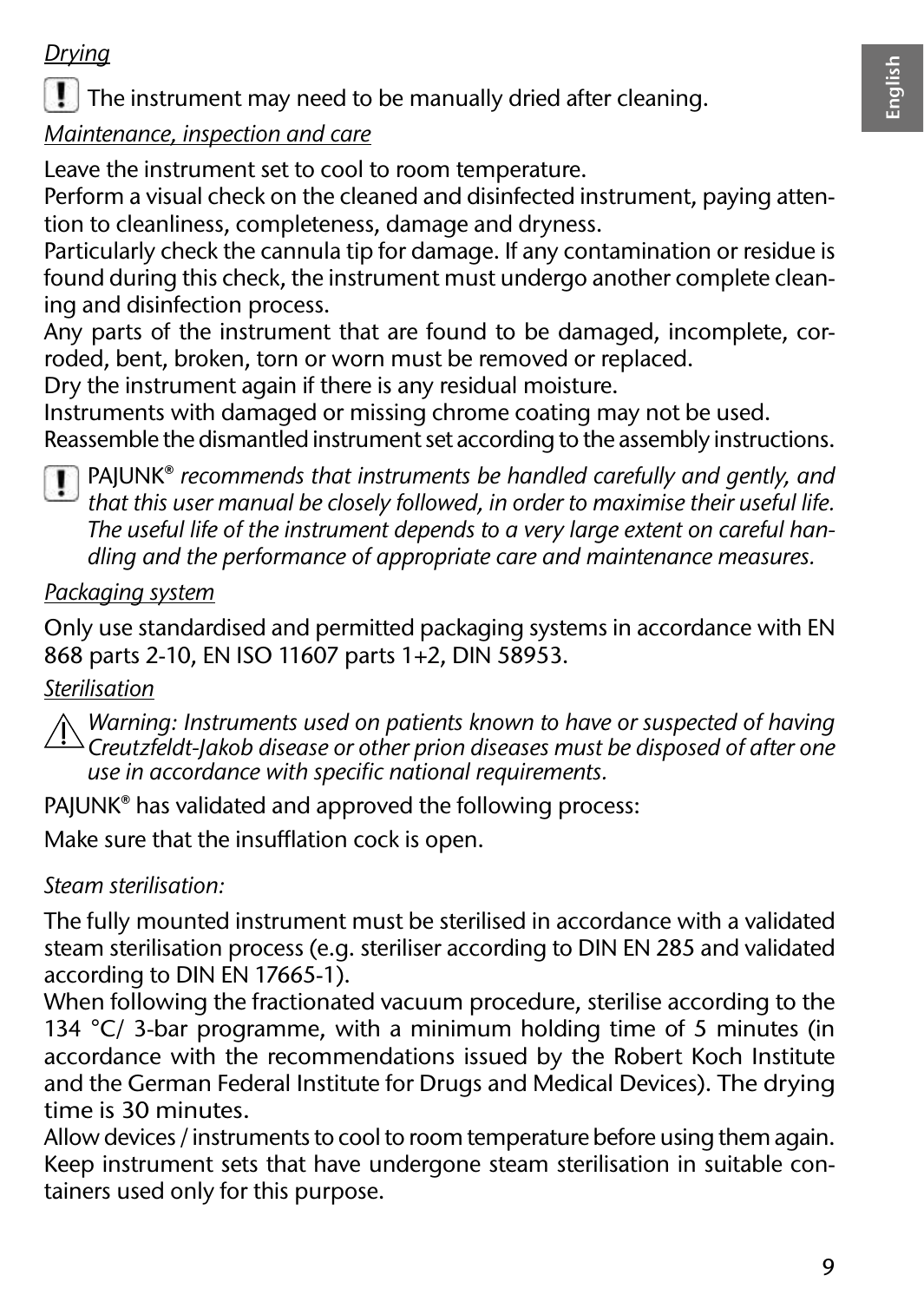#### *Drying*

The instrument may need to be manually dried after cleaning.

#### *Maintenance, inspection and care*

Leave the instrument set to cool to room temperature.

Perform a visual check on the cleaned and disinfected instrument, paying attention to cleanliness, completeness, damage and dryness.

Particularly check the cannula tip for damage. If any contamination or residue is found during this check, the instrument must undergo another complete cleaning and disinfection process.

Any parts of the instrument that are found to be damaged, incomplete, corroded, bent, broken, torn or worn must be removed or replaced.

Dry the instrument again if there is any residual moisture.

Instruments with damaged or missing chrome coating may not be used. Reassemble the dismantled instrument set according to the assembly instructions.



PAJUNK® *recommends that instruments be handled carefully and gently, and that this user manual be closely followed, in order to maximise their useful life. The useful life of the instrument depends to a very large extent on careful handling and the performance of appropriate care and maintenance measures.*

#### *Packaging system*

Only use standardised and permitted packaging systems in accordance with EN 868 parts 2-10, EN ISO 11607 parts 1+2, DIN 58953.

#### *Sterilisation*

*Warning: Instruments used on patients known to have or suspected of having Creutzfeldt-Jakob disease or other prion diseases must be disposed of after one use in accordance with specific national requirements.*

PAJUNK® has validated and approved the following process:

Make sure that the insufflation cock is open.

*Steam sterilisation:*

The fully mounted instrument must be sterilised in accordance with a validated steam sterilisation process (e.g. steriliser according to DIN EN 285 and validated according to DIN EN 17665-1).

When following the fractionated vacuum procedure, sterilise according to the 134 °C/ 3-bar programme, with a minimum holding time of 5 minutes (in accordance with the recommendations issued by the Robert Koch Institute and the German Federal Institute for Drugs and Medical Devices). The drying time is 30 minutes.

Allow devices / instruments to cool to room temperature before using them again. Keep instrument sets that have undergone steam sterilisation in suitable containers used only for this purpose.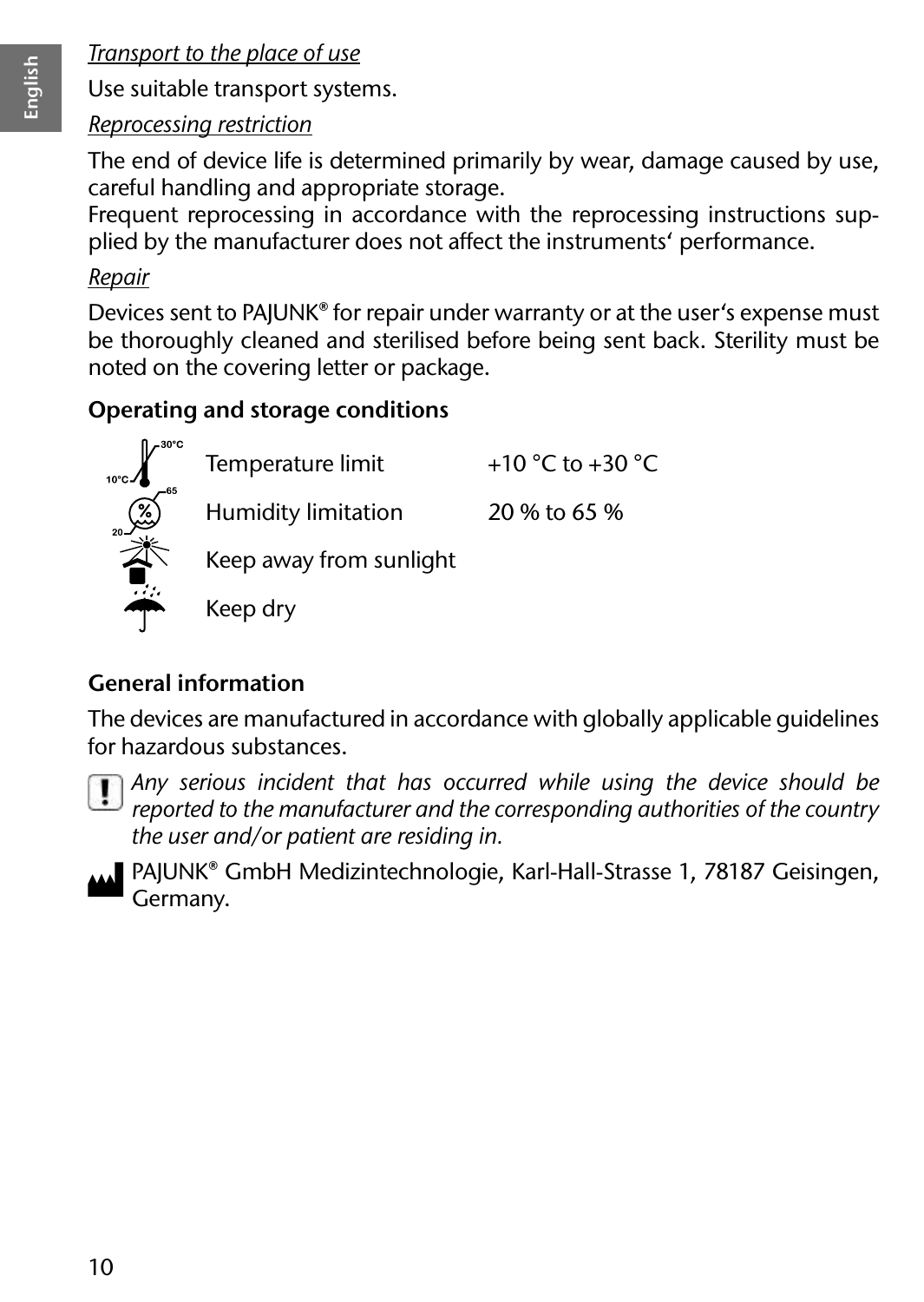#### *Transport to the place of use*

Use suitable transport systems.

#### *Reprocessing restriction*

The end of device life is determined primarily by wear, damage caused by use, careful handling and appropriate storage.

Frequent reprocessing in accordance with the reprocessing instructions supplied by the manufacturer does not affect the instruments' performance.

#### *Repair*

Devices sent to PAJUNK® for repair under warranty or at the user's expense must be thoroughly cleaned and sterilised before being sent back. Sterility must be noted on the covering letter or package.

#### **Operating and storage conditions**

Temperature limit  $+10 °C$  to  $+30 °C$ Humidity limitation 20 % to 65 % Keep away from sunlight Keep dry

#### **General information**

The devices are manufactured in accordance with globally applicable guidelines for hazardous substances.

*Any serious incident that has occurred while using the device should be reported to the manufacturer and the corresponding authorities of the country the user and/or patient are residing in.*

PAJUNK® GmbH Medizintechnologie, Karl-Hall-Strasse 1, 78187 Geisingen, Germany.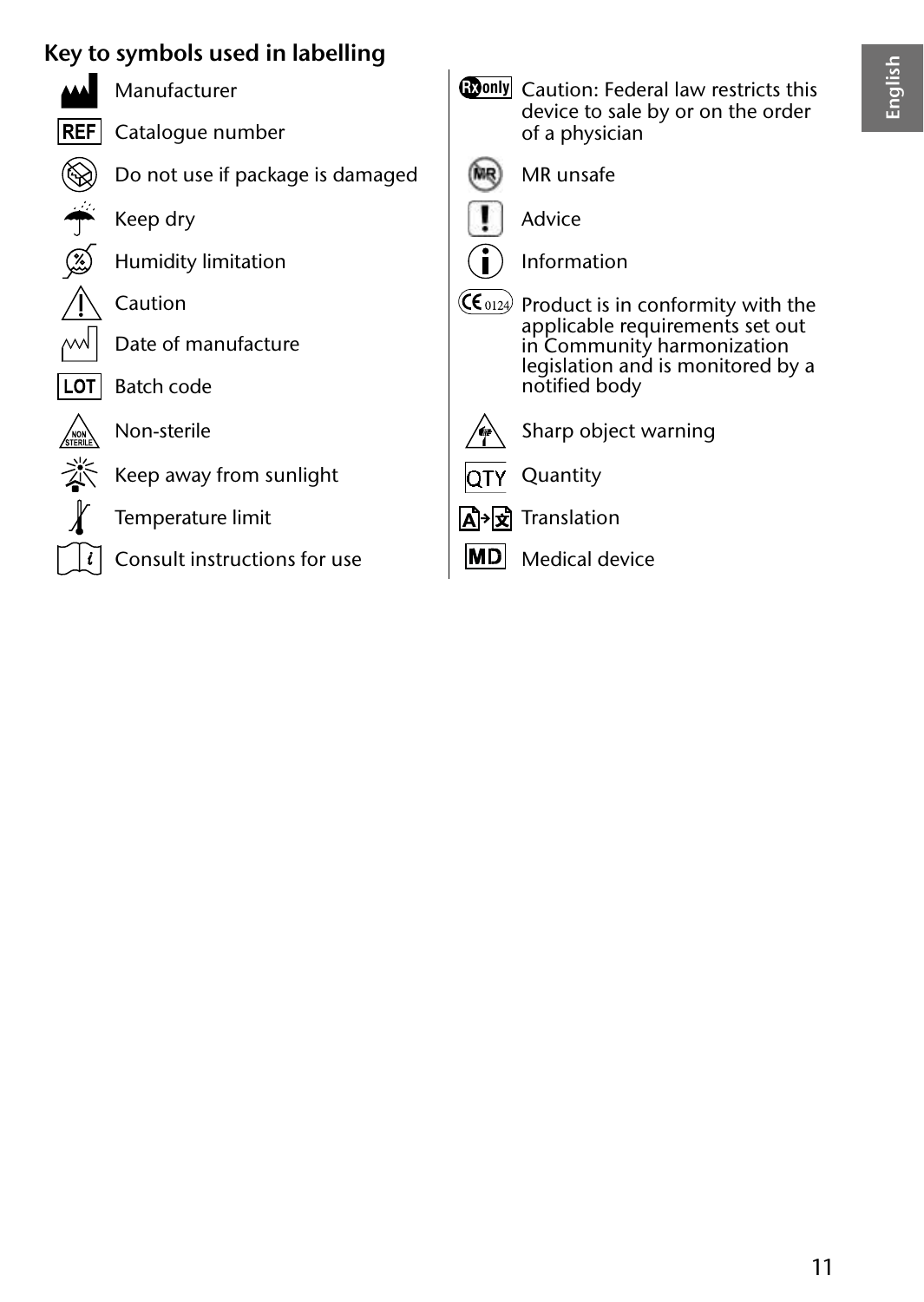#### **Key to symbols used in labelling**



- 
- **Manufacturer** 
	-
- $\overline{\text{REF}}$  Catalogue number
	- Do not use if package is damaged
	- Keep dry
	- Humidity limitation
	-
- Date of manufacture
- $\boxed{\text{LOT}}$  Batch code



- Non-sterile
- Keep away from sunlight
- Temperature limit
- Consult instructions for use

| Manufacturer                     |         | <b>Conly</b> Caution: Federal law restricts this<br>device to sale by or on the order |
|----------------------------------|---------|---------------------------------------------------------------------------------------|
| Catalogue number                 |         | of a physician                                                                        |
| Do not use if package is damaged |         | MR unsafe                                                                             |
| Keep dry                         |         | Advice                                                                                |
| Humidity limitation              |         | Information                                                                           |
| Caution                          |         | (Conta) Product is in conformity with the                                             |
| Date of manufacture              |         | applicable requirements set out<br>in Community harmonization                         |
| Batch code                       |         | legislation and is monitored by a<br>notified body                                    |
| Non-sterile                      |         | Sharp object warning                                                                  |
| Keep away from sunlight          |         | Quantity                                                                              |
| Temperature limit                | lAl→lxl | Translation                                                                           |
| Consult instructions for use     |         | Medical device                                                                        |
|                                  |         |                                                                                       |